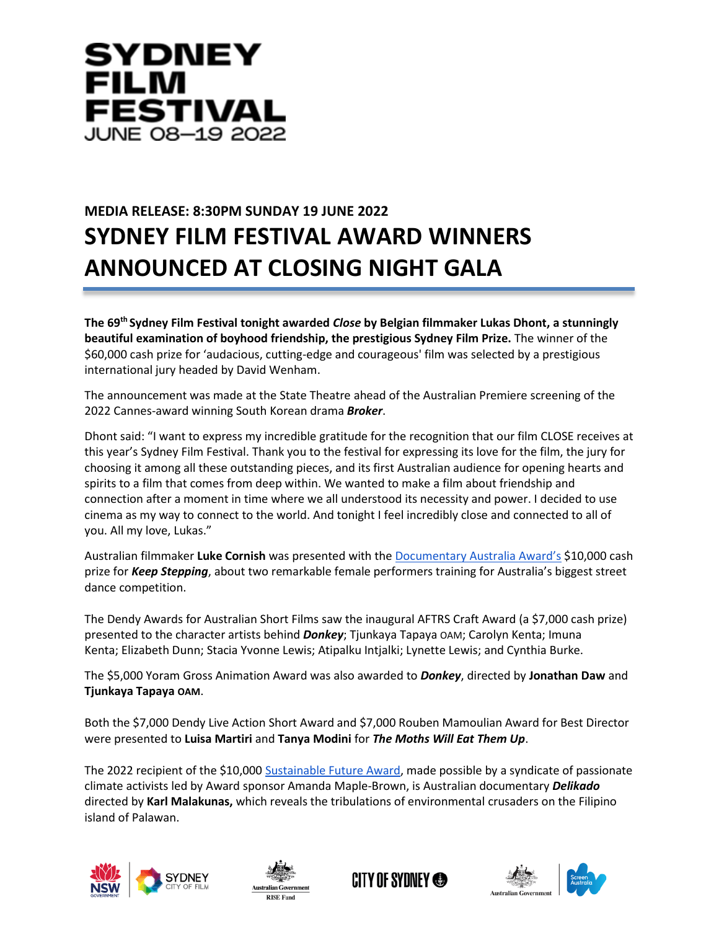

## **MEDIA RELEASE: 8:30PM SUNDAY 19 JUNE 2022 SYDNEY FILM FESTIVAL AWARD WINNERS ANNOUNCED AT CLOSING NIGHT GALA**

**The 69th Sydney Film Festival tonight awarded** *Close* **by Belgian filmmaker Lukas Dhont, a stunningly beautiful examination of boyhood friendship, the prestigious Sydney Film Prize.** The winner of the \$60,000 cash prize for 'audacious, cutting-edge and courageous' film was selected by a prestigious international jury headed by David Wenham.

The announcement was made at the State Theatre ahead of the Australian Premiere screening of the 2022 Cannes-award winning South Korean drama *Broker*.

Dhont said: "I want to express my incredible gratitude for the recognition that our film CLOSE receives at this year's Sydney Film Festival. Thank you to the festival for expressing its love for the film, the jury for choosing it among all these outstanding pieces, and its first Australian audience for opening hearts and spirits to a film that comes from deep within. We wanted to make a film about friendship and connection after a moment in time where we all understood its necessity and power. I decided to use cinema as my way to connect to the world. And tonight I feel incredibly close and connected to all of you. All my love, Lukas."

Australian filmmaker **Luke Cornish** was presented with the [Documentary Australia Award's](https://www.sff.org.au/program/strands/documentary-australia-award) \$10,000 cash prize fo[r](http://tix.sff.org.au/session_sff.asp?sn=The+Pink+House) *Keep Stepping*, about two remarkable female performers training for Australia's biggest street dance competition.

Th[e](https://www.sff.org.au/program/browse/dendy-awards-for-australian-short-films) [Dendy Awards for Australian Short Films](https://www.sff.org.au/program/browse/dendy-awards-for-australian-short-films) saw the inaugural AFTRS Craft Award (a \$7,000 cash prize) presented to the character artists behind *Donkey*; Tjunkaya Tapaya OAM; Carolyn Kenta; Imuna Kenta; Elizabeth Dunn; Stacia Yvonne Lewis; Atipalku Intjalki; Lynette Lewis; and Cynthia Burke.

The \$5,000 Yoram Gross Animation Award was also awarded to *Donkey*, directed by **Jonathan Daw** and **Tjunkaya Tapaya OAM**.

Both the \$7,000 Dendy Live Action Short Award and \$7,000 Rouben Mamoulian Award for Best Director were presented to **Luisa Martiri** and **Tanya Modini** for *The Moths Will Eat Them Up*.

The 2022 recipient of the \$10,000 [Sustainable Future Award,](https://www.sff.org.au/info/sustainable-future-award/) made possible by a syndicate of passionate climate activists led by Award sponsor Amanda Maple-Brown, is Australian documentary *Delikado* directed by **Karl Malakunas,** which reveals the tribulations of environmental crusaders on the Filipino island of Palawan.









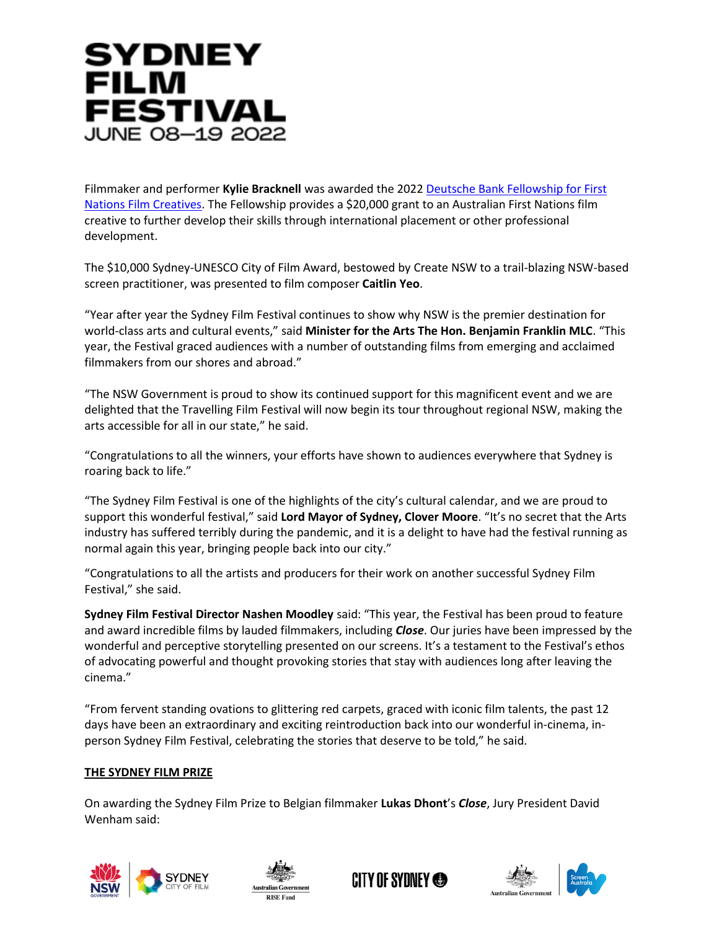# SYDNEY **FILM FESTIVAL JUNE 08-19 2022**

Filmmaker and performer **Kylie Bracknell** was awarded the 202[2](https://www.sff.org.au/initiatives/deutsche-bank-fellowship/) [Deutsche Bank Fellowship for First](https://www.sff.org.au/initiatives/deutsche-bank-fellowship/)  [Nations Film Creatives.](https://www.sff.org.au/initiatives/deutsche-bank-fellowship/) The Fellowship provides a \$20,000 grant to an Australian First Nations film creative to further develop their skills through international placement or other professional development.

The \$10,000 Sydney-UNESCO City of Film Award, bestowed by Create NSW to a trail-blazing NSW-based screen practitioner, was presented to film composer **Caitlin Yeo**.

"Year after year the Sydney Film Festival continues to show why NSW is the premier destination for world-class arts and cultural events," said **Minister for the Arts The Hon. Benjamin Franklin MLC**. "This year, the Festival graced audiences with a number of outstanding films from emerging and acclaimed filmmakers from our shores and abroad."

"The NSW Government is proud to show its continued support for this magnificent event and we are delighted that the Travelling Film Festival will now begin its tour throughout regional NSW, making the arts accessible for all in our state," he said.

"Congratulations to all the winners, your efforts have shown to audiences everywhere that Sydney is roaring back to life."

"The Sydney Film Festival is one of the highlights of the city's cultural calendar, and we are proud to support this wonderful festival," said **Lord Mayor of Sydney, Clover Moore**. "It's no secret that the Arts industry has suffered terribly during the pandemic, and it is a delight to have had the festival running as normal again this year, bringing people back into our city."

"Congratulations to all the artists and producers for their work on another successful Sydney Film Festival," she said.

**Sydney Film Festival Director Nashen Moodley** said: "This year, the Festival has been proud to feature and award incredible films by lauded filmmakers, including *Close*. Our juries have been impressed by the wonderful and perceptive storytelling presented on our screens. It's a testament to the Festival's ethos of advocating powerful and thought provoking stories that stay with audiences long after leaving the cinema."

"From fervent standing ovations to glittering red carpets, graced with iconic film talents, the past 12 days have been an extraordinary and exciting reintroduction back into our wonderful in-cinema, inperson Sydney Film Festival, celebrating the stories that deserve to be told," he said.

### **THE SYDNEY FILM PRIZE**

On awarding the Sydney Film Prize to Belgian filmmaker **Lukas Dhont**'s *Close*, Jury President David Wenham said:









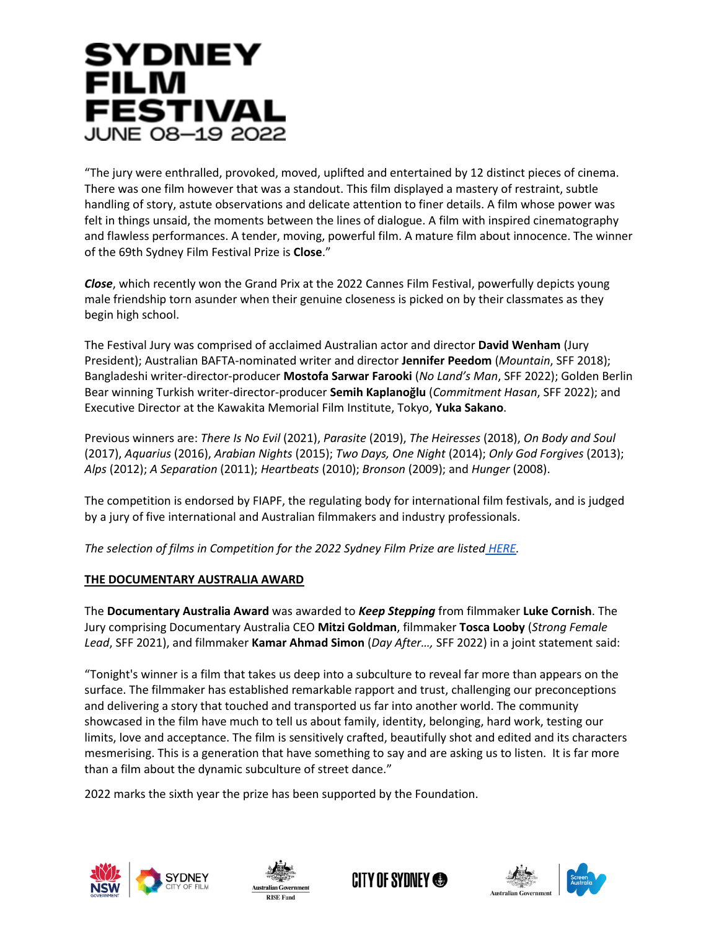# SYDNEY **FILM FESTIVAL JUNE 08-19 2022**

"The jury were enthralled, provoked, moved, uplifted and entertained by 12 distinct pieces of cinema. There was one film however that was a standout. This film displayed a mastery of restraint, subtle handling of story, astute observations and delicate attention to finer details. A film whose power was felt in things unsaid, the moments between the lines of dialogue. A film with inspired cinematography and flawless performances. A tender, moving, powerful film. A mature film about innocence. The winner of the 69th Sydney Film Festival Prize is **Close**."

*Close*, which recently won the Grand Prix at the 2022 Cannes Film Festival, powerfully depicts young male friendship torn asunder when their genuine closeness is picked on by their classmates as they begin high school.

The Festival Jury was comprised of acclaimed Australian actor and director **David Wenham** (Jury President); Australian BAFTA-nominated writer and director **Jennifer Peedom** (*Mountain*, SFF 2018); Bangladeshi writer-director-producer **Mostofa Sarwar Farooki** (*No Land's Man*, SFF 2022); Golden Berlin Bear winning Turkish writer-director-producer **Semih Kaplanoğlu** (*Commitment Hasan*, SFF 2022); and Executive Director at the Kawakita Memorial Film Institute, Tokyo, **Yuka Sakano**.

Previous winners are: *There Is No Evil* (2021), *Parasite* (2019), *The Heiresses* (2018), *On Body and Soul* (2017), *Aquarius* (2016), *Arabian Nights* (2015); *Two Days, One Night* (2014); *Only God Forgives* (2013); *Alps* (2012); *A Separation* (2011); *Heartbeats* (2010); *Bronson* (2009); and *Hunger* (2008).

The competition is endorsed by FIAPF, the regulating body for international film festivals, and is judged by a jury of five international and Australian filmmakers and industry professionals.

*The selection of films in Competition for the 2022 Sydney Film Prize are listed [HERE.](https://www.sff.org.au/program/strands/official-competition)*

## **THE DOCUMENTARY AUSTRALIA AWARD**

The **Documentary Australia Award** was awarded to *Keep Stepping* from filmmaker **Luke Cornish**. The Jury comprising Documentary Australia CEO **Mitzi Goldman**, filmmaker **Tosca Looby** (*Strong Female Lead*, SFF 2021), and filmmaker **Kamar Ahmad Simon** (*Day After…,* SFF 2022) in a joint statement said:

"Tonight's winner is a film that takes us deep into a subculture to reveal far more than appears on the surface. The filmmaker has established remarkable rapport and trust, challenging our preconceptions and delivering a story that touched and transported us far into another world. The community showcased in the film have much to tell us about family, identity, belonging, hard work, testing our limits, love and acceptance. The film is sensitively crafted, beautifully shot and edited and its characters mesmerising. This is a generation that have something to say and are asking us to listen. It is far more than a film about the dynamic subculture of street dance."

2022 marks the sixth year the prize has been supported by the Foundation.









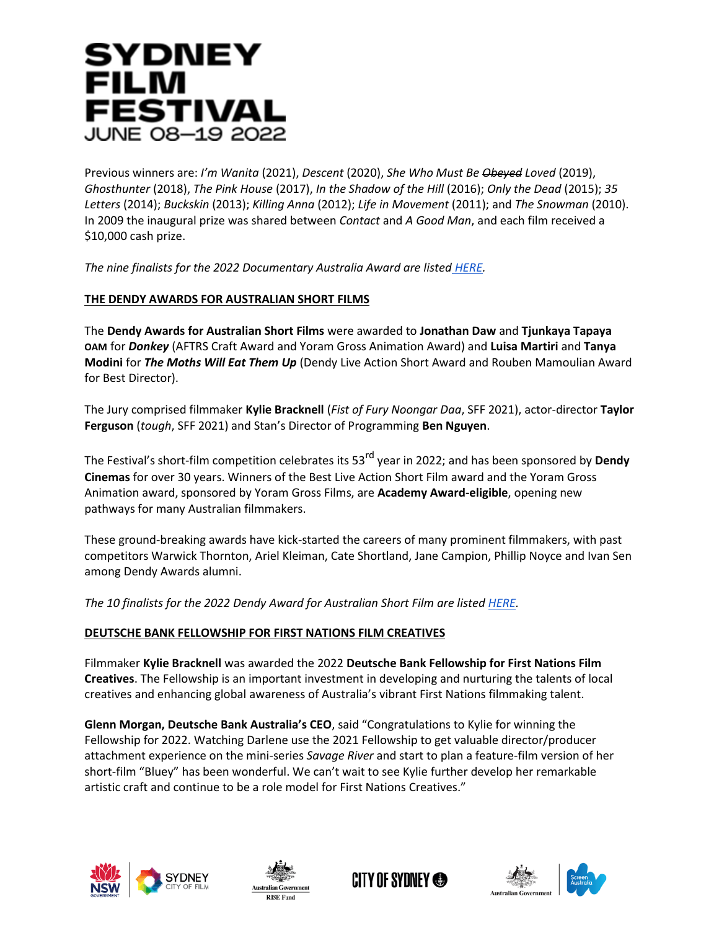# SYDNEY **FILM FESTIVAL JUNE 08-19 2022**

Previous winners are: *I'm Wanita* (2021), *Descent* (2020), *She Who Must Be Obeyed Loved* (2019), *Ghosthunter* (2018), *The Pink House* (2017), *In the Shadow of the Hill* (2016); *Only the Dead* (2015); *35 Letters* (2014); *Buckskin* (2013); *Killing Anna* (2012); *Life in Movement* (2011); and *The Snowman* (2010). In 2009 the inaugural prize was shared between *Contact* and *A Good Man*, and each film received a \$10,000 cash prize.

*The nine finalists for the 2022 Documentary Australia Award are listed [HERE.](https://www.sff.org.au/program/strands/documentary-australia-award)* 

## **THE DENDY AWARDS FOR AUSTRALIAN SHORT FILMS**

The **Dendy Awards for Australian Short Films** were awarded to **Jonathan Daw** and **Tjunkaya Tapaya OAM** for *Donkey* (AFTRS Craft Award and Yoram Gross Animation Award) and **Luisa Martiri** and **Tanya Modini** for *The Moths Will Eat Them Up* (Dendy Live Action Short Award and Rouben Mamoulian Award for Best Director).

The Jury comprised filmmaker **Kylie Bracknell** (*Fist of Fury Noongar Daa*, SFF 2021), actor-director **Taylor Ferguson** (*tough*, SFF 2021) and Stan's Director of Programming **Ben Nguyen**.

The Festival's short-film competition celebrates its 53rd year in 2022; and has been sponsored by **Dendy Cinemas** for over 30 years. Winners of the Best Live Action Short Film award and the Yoram Gross Animation award, sponsored by Yoram Gross Films, are **Academy Award-eligible**, opening new pathways for many Australian filmmakers.

These ground-breaking awards have kick-started the careers of many prominent filmmakers, with past competitors Warwick Thornton, Ariel Kleiman, Cate Shortland, Jane Campion, Phillip Noyce and Ivan Sen among Dendy Awards alumni.

*The 10 finalists for the 2022 Dendy Award for Australian Short Film are liste[d](https://www.sff.org.au/program/browse/dendy-awards-for-australian-short-films) [HERE.](https://www.sff.org.au/program/browse/dendy-awards-for-australian-short-films)*

## **DEUTSCHE BANK FELLOWSHIP FOR FIRST NATIONS FILM CREATIVES**

Filmmaker **Kylie Bracknell** was awarded the 2022 **Deutsche Bank Fellowship for First Nations Film Creatives**. The Fellowship is an important investment in developing and nurturing the talents of local creatives and enhancing global awareness of Australia's vibrant First Nations filmmaking talent.

**Glenn Morgan, Deutsche Bank Australia's CEO**, said "Congratulations to Kylie for winning the Fellowship for 2022. Watching Darlene use the 2021 Fellowship to get valuable director/producer attachment experience on the mini-series *Savage River* and start to plan a feature-film version of her short-film "Bluey" has been wonderful. We can't wait to see Kylie further develop her remarkable artistic craft and continue to be a role model for First Nations Creatives."